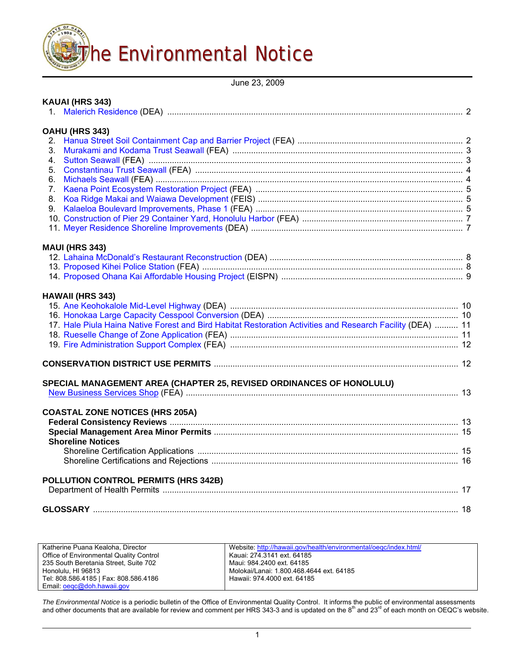

June 23, 2009

| KAUAI (HRS 343)<br>1.                                                                                      |  |
|------------------------------------------------------------------------------------------------------------|--|
| OAHU (HRS 343)                                                                                             |  |
| 2.                                                                                                         |  |
| 3.                                                                                                         |  |
| 4.                                                                                                         |  |
| 5.                                                                                                         |  |
| 6.                                                                                                         |  |
| 7.                                                                                                         |  |
| 8.                                                                                                         |  |
| 9.                                                                                                         |  |
|                                                                                                            |  |
|                                                                                                            |  |
| <b>MAUI (HRS 343)</b>                                                                                      |  |
|                                                                                                            |  |
|                                                                                                            |  |
|                                                                                                            |  |
|                                                                                                            |  |
| <b>HAWAII (HRS 343)</b>                                                                                    |  |
|                                                                                                            |  |
|                                                                                                            |  |
| 11. Hale Piula Haina Native Forest and Bird Habitat Restoration Activities and Research Facility (DEA)  11 |  |
|                                                                                                            |  |
|                                                                                                            |  |
|                                                                                                            |  |
| SPECIAL MANAGEMENT AREA (CHAPTER 25, REVISED ORDINANCES OF HONOLULU)                                       |  |
|                                                                                                            |  |
| <b>COASTAL ZONE NOTICES (HRS 205A)</b>                                                                     |  |
|                                                                                                            |  |
|                                                                                                            |  |
| <b>Shoreline Notices</b>                                                                                   |  |
|                                                                                                            |  |
|                                                                                                            |  |
| POLLUTION CONTROL PERMITS (HRS 342B)                                                                       |  |
|                                                                                                            |  |
|                                                                                                            |  |
|                                                                                                            |  |
|                                                                                                            |  |

| Katherine Puana Kealoha, Director       | Website: http://hawaii.gov/health/environmental/oegc/index.html/ |
|-----------------------------------------|------------------------------------------------------------------|
| Office of Environmental Quality Control | Kauai: 274.3141 ext. 64185                                       |
| 235 South Beretania Street, Suite 702   | Maui: 984.2400 ext. 64185                                        |
| Honolulu, HI 96813                      | Molokai/Lanai: 1.800.468.4644 ext. 64185                         |
| Tel: 808.586.4185   Fax: 808.586.4186   | Hawaii: 974.4000 ext. 64185                                      |
| Email: oegc@doh.hawaii.gov              |                                                                  |

The Environmental Notice is a periodic bulletin of the Office of Environmental Quality Control. It informs the public of environmental assessments<br>and other documents that are available for review and comment per HRS 343-3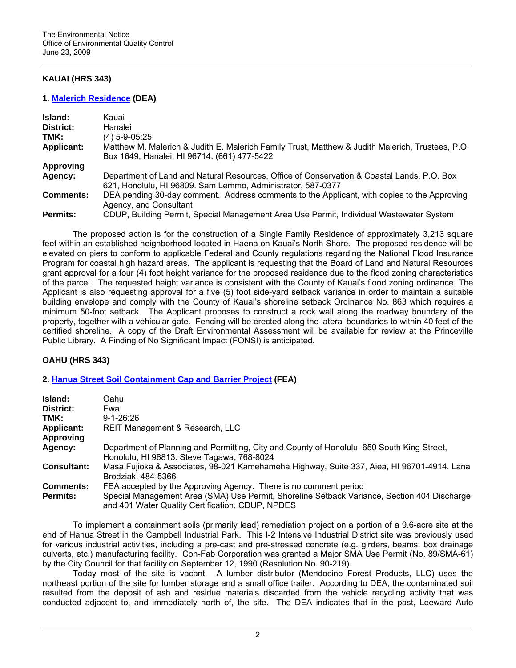# **KAUAI (HRS 343)**

### **1. [Malerich Residence](http://oeqc.doh.hawaii.gov/Shared%20Documents/EA_and_EIS_Online_Library/Kauai/2000s/2009-06-23-KA-DEA-Malerich-Residence.pdf) (DEA)**

| Island:           | Kauai                                                                                                                                                     |
|-------------------|-----------------------------------------------------------------------------------------------------------------------------------------------------------|
| District:         | Hanalei                                                                                                                                                   |
| TMK:              | (4) 5-9-05:25                                                                                                                                             |
| <b>Applicant:</b> | Matthew M. Malerich & Judith E. Malerich Family Trust, Matthew & Judith Malerich, Trustees, P.O.<br>Box 1649, Hanalei, HI 96714. (661) 477-5422           |
| Approving         |                                                                                                                                                           |
| Agency:           | Department of Land and Natural Resources, Office of Conservation & Coastal Lands, P.O. Box<br>621, Honolulu, HI 96809. Sam Lemmo, Administrator, 587-0377 |
| <b>Comments:</b>  | DEA pending 30-day comment. Address comments to the Applicant, with copies to the Approving<br>Agency, and Consultant                                     |
| <b>Permits:</b>   | CDUP, Building Permit, Special Management Area Use Permit, Individual Wastewater System                                                                   |

The proposed action is for the construction of a Single Family Residence of approximately 3,213 square feet within an established neighborhood located in Haena on Kauai's North Shore. The proposed residence will be elevated on piers to conform to applicable Federal and County regulations regarding the National Flood Insurance Program for coastal high hazard areas. The applicant is requesting that the Board of Land and Natural Resources grant approval for a four (4) foot height variance for the proposed residence due to the flood zoning characteristics of the parcel. The requested height variance is consistent with the County of Kauai's flood zoning ordinance. The Applicant is also requesting approval for a five (5) foot side-yard setback variance in order to maintain a suitable building envelope and comply with the County of Kauai's shoreline setback Ordinance No. 863 which requires a minimum 50-foot setback. The Applicant proposes to construct a rock wall along the roadway boundary of the property, together with a vehicular gate. Fencing will be erected along the lateral boundaries to within 40 feet of the certified shoreline. A copy of the Draft Environmental Assessment will be available for review at the Princeville Public Library. A Finding of No Significant Impact (FONSI) is anticipated.

### **OAHU (HRS 343)**

# **2. [Hanua Street Soil Containment Cap and Barrier Project](http://oeqc.doh.hawaii.gov/Shared%20Documents/EA_and_EIS_Online_Library/Oahu/2000s/2009-06-23-OA-FEA-Hanua-Street-Containment.pdf) (FEA)**

| Island:<br>District:<br>TMK:          | Oahu<br>Ewa<br>$9 - 1 - 26.26$                                                                                                                                                                                      |
|---------------------------------------|---------------------------------------------------------------------------------------------------------------------------------------------------------------------------------------------------------------------|
| <b>Applicant:</b><br><b>Approving</b> | REIT Management & Research, LLC                                                                                                                                                                                     |
| Agency:                               | Department of Planning and Permitting, City and County of Honolulu, 650 South King Street,<br>Honolulu, HI 96813. Steve Tagawa, 768-8024                                                                            |
| <b>Consultant:</b>                    | Masa Fujioka & Associates, 98-021 Kamehameha Highway, Suite 337, Aiea, HI 96701-4914. Lana<br>Brodziak, 484-5366                                                                                                    |
| <b>Comments:</b><br><b>Permits:</b>   | FEA accepted by the Approving Agency. There is no comment period<br>Special Management Area (SMA) Use Permit, Shoreline Setback Variance, Section 404 Discharge<br>and 401 Water Quality Certification, CDUP, NPDES |

To implement a containment soils (primarily lead) remediation project on a portion of a 9.6-acre site at the end of Hanua Street in the Campbell Industrial Park. This I-2 Intensive Industrial District site was previously used for various industrial activities, including a pre-cast and pre-stressed concrete (e.g. girders, beams, box drainage culverts, etc.) manufacturing facility. Con-Fab Corporation was granted a Major SMA Use Permit (No. 89/SMA-61) by the City Council for that facility on September 12, 1990 (Resolution No. 90-219).

 Today most of the site is vacant. A lumber distributor (Mendocino Forest Products, LLC) uses the northeast portion of the site for lumber storage and a small office trailer. According to DEA, the contaminated soil resulted from the deposit of ash and residue materials discarded from the vehicle recycling activity that was conducted adjacent to, and immediately north of, the site. The DEA indicates that in the past, Leeward Auto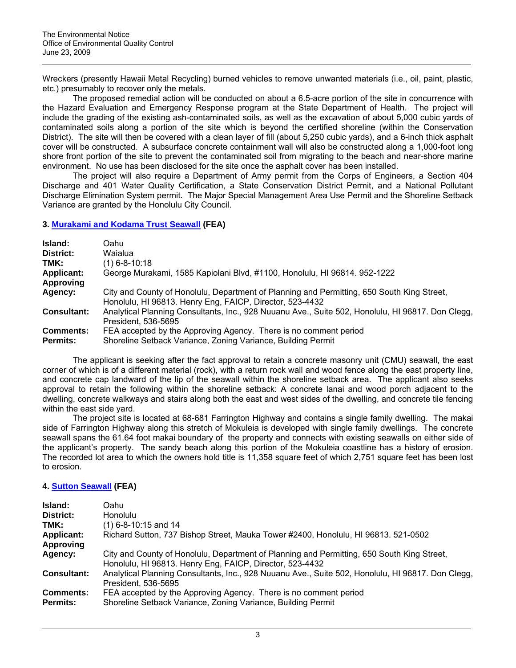Wreckers (presently Hawaii Metal Recycling) burned vehicles to remove unwanted materials (i.e., oil, paint, plastic, etc.) presumably to recover only the metals.

 The proposed remedial action will be conducted on about a 6.5-acre portion of the site in concurrence with the Hazard Evaluation and Emergency Response program at the State Department of Health. The project will include the grading of the existing ash-contaminated soils, as well as the excavation of about 5,000 cubic yards of contaminated soils along a portion of the site which is beyond the certified shoreline (within the Conservation District). The site will then be covered with a clean layer of fill (about 5,250 cubic yards), and a 6-inch thick asphalt cover will be constructed. A subsurface concrete containment wall will also be constructed along a 1,000-foot long shore front portion of the site to prevent the contaminated soil from migrating to the beach and near-shore marine environment. No use has been disclosed for the site once the asphalt cover has been installed.

 The project will also require a Department of Army permit from the Corps of Engineers, a Section 404 Discharge and 401 Water Quality Certification, a State Conservation District Permit, and a National Pollutant Discharge Elimination System permit. The Major Special Management Area Use Permit and the Shoreline Setback Variance are granted by the Honolulu City Council.

### **3. [Murakami and Kodama Trust Seawall](http://oeqc.doh.hawaii.gov/Shared%20Documents/EA_and_EIS_Online_Library/Oahu/2000s/2009-06-23-OA-FEA-Murakami-Kodama-Seawall.pdf) (FEA)**

| Island:            | Oahu                                                                                                                     |
|--------------------|--------------------------------------------------------------------------------------------------------------------------|
| District:          | Waialua                                                                                                                  |
| TMK:               | (1) 6-8-10:18                                                                                                            |
| <b>Applicant:</b>  | George Murakami, 1585 Kapiolani Blvd, #1100, Honolulu, HI 96814. 952-1222                                                |
| Approving          |                                                                                                                          |
| Agency:            | City and County of Honolulu, Department of Planning and Permitting, 650 South King Street,                               |
|                    | Honolulu, HI 96813. Henry Eng, FAICP, Director, 523-4432                                                                 |
| <b>Consultant:</b> | Analytical Planning Consultants, Inc., 928 Nuuanu Ave., Suite 502, Honolulu, HI 96817. Don Clegg,<br>President. 536-5695 |
| <b>Comments:</b>   | FEA accepted by the Approving Agency. There is no comment period                                                         |
| <b>Permits:</b>    | Shoreline Setback Variance, Zoning Variance, Building Permit                                                             |

The applicant is seeking after the fact approval to retain a concrete masonry unit (CMU) seawall, the east corner of which is of a different material (rock), with a return rock wall and wood fence along the east property line, and concrete cap landward of the lip of the seawall within the shoreline setback area. The applicant also seeks approval to retain the following within the shoreline setback: A concrete lanai and wood porch adjacent to the dwelling, concrete walkways and stairs along both the east and west sides of the dwelling, and concrete tile fencing within the east side yard.

The project site is located at 68-681 Farrington Highway and contains a single family dwelling. The makai side of Farrington Highway along this stretch of Mokuleia is developed with single family dwellings. The concrete seawall spans the 61.64 foot makai boundary of the property and connects with existing seawalls on either side of the applicant's property. The sandy beach along this portion of the Mokuleia coastline has a history of erosion. The recorded lot area to which the owners hold title is 11,358 square feet of which 2,751 square feet has been lost to erosion.

# **4. [Sutton Seawall](http://oeqc.doh.hawaii.gov/Shared%20Documents/EA_and_EIS_Online_Library/Oahu/2000s/2009-06-23-OA-FEA-Sutton-Seawall.pdf) (FEA)**

| Island:            | Oahu                                                                                                                                                   |
|--------------------|--------------------------------------------------------------------------------------------------------------------------------------------------------|
| District:          | <b>Honolulu</b>                                                                                                                                        |
| TMK:               | $(1)$ 6-8-10:15 and 14                                                                                                                                 |
| <b>Applicant:</b>  | Richard Sutton, 737 Bishop Street, Mauka Tower #2400, Honolulu, HI 96813. 521-0502                                                                     |
| <b>Approving</b>   |                                                                                                                                                        |
| Agency:            | City and County of Honolulu, Department of Planning and Permitting, 650 South King Street,<br>Honolulu, HI 96813. Henry Eng, FAICP, Director, 523-4432 |
| <b>Consultant:</b> | Analytical Planning Consultants, Inc., 928 Nuuanu Ave., Suite 502, Honolulu, HI 96817. Don Clegg,<br>President. 536-5695                               |
| <b>Comments:</b>   | FEA accepted by the Approving Agency. There is no comment period                                                                                       |
| <b>Permits:</b>    | Shoreline Setback Variance, Zoning Variance, Building Permit                                                                                           |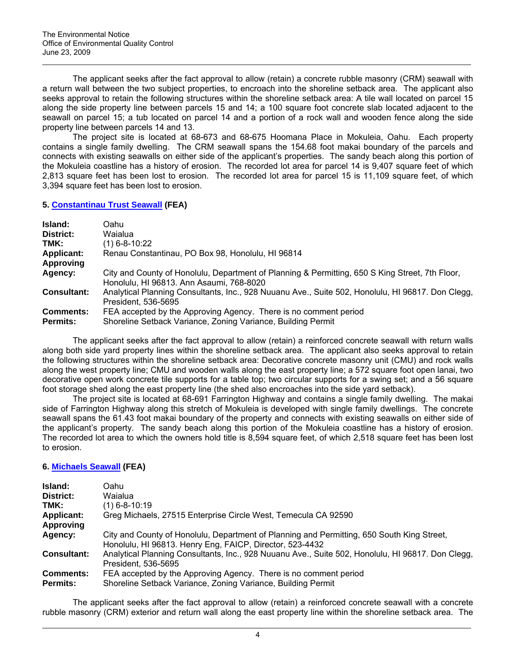The applicant seeks after the fact approval to allow (retain) a concrete rubble masonry (CRM) seawall with a return wall between the two subject properties, to encroach into the shoreline setback area. The applicant also seeks approval to retain the following structures within the shoreline setback area: A tile wall located on parcel 15 along the side property line between parcels 15 and 14; a 100 square foot concrete slab located adjacent to the seawall on parcel 15; a tub located on parcel 14 and a portion of a rock wall and wooden fence along the side property line between parcels 14 and 13.

The project site is located at 68-673 and 68-675 Hoomana Place in Mokuleia, Oahu. Each property contains a single family dwelling. The CRM seawall spans the 154.68 foot makai boundary of the parcels and connects with existing seawalls on either side of the applicant's properties. The sandy beach along this portion of the Mokuleia coastline has a history of erosion. The recorded lot area for parcel 14 is 9,407 square feet of which 2,813 square feet has been lost to erosion. The recorded lot area for parcel 15 is 11,109 square feet, of which 3,394 square feet has been lost to erosion.

### **5. [Constantinau Trust Seawall](http://oeqc.doh.hawaii.gov/Shared%20Documents/EA_and_EIS_Online_Library/Oahu/2000s/2009-06-23-OA-FEA-Constantinau-Seawall.pdf) (FEA)**

| Island:            | Oahul                                                                                                                                       |
|--------------------|---------------------------------------------------------------------------------------------------------------------------------------------|
| District:          | Waialua                                                                                                                                     |
| TMK:               | (1) 6-8-10:22                                                                                                                               |
| <b>Applicant:</b>  | Renau Constantinau, PO Box 98, Honolulu, HI 96814                                                                                           |
| <b>Approving</b>   |                                                                                                                                             |
| Agency:            | City and County of Honolulu, Department of Planning & Permitting, 650 S King Street, 7th Floor,<br>Honolulu, HI 96813. Ann Asaumi, 768-8020 |
| <b>Consultant:</b> | Analytical Planning Consultants, Inc., 928 Nuuanu Ave., Suite 502, Honolulu, HI 96817. Don Clegg,<br>President. 536-5695                    |
| <b>Comments:</b>   | FEA accepted by the Approving Agency. There is no comment period                                                                            |
| <b>Permits:</b>    | Shoreline Setback Variance, Zoning Variance, Building Permit                                                                                |

The applicant seeks after the fact approval to allow (retain) a reinforced concrete seawall with return walls along both side yard property lines within the shoreline setback area. The applicant also seeks approval to retain the following structures within the shoreline setback area: Decorative concrete masonry unit (CMU) and rock walls along the west property line; CMU and wooden walls along the east property line; a 572 square foot open lanai, two decorative open work concrete tile supports for a table top; two circular supports for a swing set; and a 56 square foot storage shed along the east property line (the shed also encroaches into the side yard setback).

 The project site is located at 68-691 Farrington Highway and contains a single family dwelling. The makai side of Farrington Highway along this stretch of Mokuleia is developed with single family dwellings. The concrete seawall spans the 61.43 foot makai boundary of the property and connects with existing seawalls on either side of the applicant's property. The sandy beach along this portion of the Mokuleia coastline has a history of erosion. The recorded lot area to which the owners hold title is 8,594 square feet, of which 2,518 square feet has been lost to erosion.

# **6. [Michaels Seawall](http://oeqc.doh.hawaii.gov/Shared%20Documents/EA_and_EIS_Online_Library/Oahu/2000s/2009-06-23-OA-FEA-Michaels-Seawall.pdf) (FEA)**

| Island:            | Oahu                                                                                              |
|--------------------|---------------------------------------------------------------------------------------------------|
| District:          | Waialua                                                                                           |
| TMK:               | $(1)$ 6-8-10:19                                                                                   |
| <b>Applicant:</b>  | Greg Michaels, 27515 Enterprise Circle West, Temecula CA 92590                                    |
| Approving          |                                                                                                   |
| Agency:            | City and County of Honolulu, Department of Planning and Permitting, 650 South King Street,        |
|                    | Honolulu, HI 96813. Henry Eng, FAICP, Director, 523-4432                                          |
| <b>Consultant:</b> | Analytical Planning Consultants, Inc., 928 Nuuanu Ave., Suite 502, Honolulu, HI 96817. Don Clegg, |
|                    | President, 536-5695                                                                               |
| <b>Comments:</b>   | FEA accepted by the Approving Agency. There is no comment period                                  |
| <b>Permits:</b>    | Shoreline Setback Variance, Zoning Variance, Building Permit                                      |

The applicant seeks after the fact approval to allow (retain) a reinforced concrete seawall with a concrete rubble masonry (CRM) exterior and return wall along the east property line within the shoreline setback area. The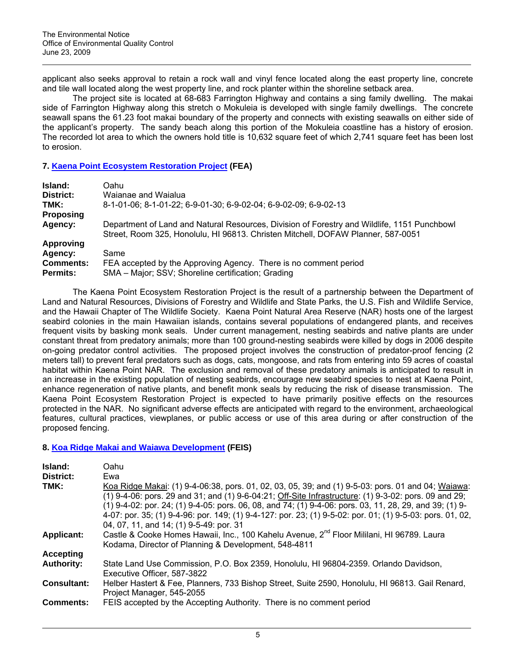applicant also seeks approval to retain a rock wall and vinyl fence located along the east property line, concrete and tile wall located along the west property line, and rock planter within the shoreline setback area.

 The project site is located at 68-683 Farrington Highway and contains a sing family dwelling. The makai side of Farrington Highway along this stretch o Mokuleia is developed with single family dwellings. The concrete seawall spans the 61.23 foot makai boundary of the property and connects with existing seawalls on either side of the applicant's property. The sandy beach along this portion of the Mokuleia coastline has a history of erosion. The recorded lot area to which the owners hold title is 10,632 square feet of which 2,741 square feet has been lost to erosion.

### **7. [Kaena Point Ecosystem Restoration Project](http://oeqc.doh.hawaii.gov/Shared%20Documents/EA_and_EIS_Online_Library/Oahu/2000s/2009-06-23-OA-FEA-Kaena-Point-Ecosystem-Restoration.pdf) (FEA)**

| Island:          | Oahu                                                                                                                                                                            |
|------------------|---------------------------------------------------------------------------------------------------------------------------------------------------------------------------------|
| District:        | Waianae and Waialua                                                                                                                                                             |
| TMK:             | 8-1-01-06; 8-1-01-22; 6-9-01-30; 6-9-02-04; 6-9-02-09; 6-9-02-13                                                                                                                |
| <b>Proposing</b> |                                                                                                                                                                                 |
| Agency:          | Department of Land and Natural Resources, Division of Forestry and Wildlife, 1151 Punchbowl<br>Street, Room 325, Honolulu, HI 96813. Christen Mitchell, DOFAW Planner, 587-0051 |
| <b>Approving</b> |                                                                                                                                                                                 |
| Agency:          | Same                                                                                                                                                                            |
| <b>Comments:</b> | FEA accepted by the Approving Agency. There is no comment period                                                                                                                |
| <b>Permits:</b>  | SMA - Major; SSV; Shoreline certification; Grading                                                                                                                              |

The Kaena Point Ecosystem Restoration Project is the result of a partnership between the Department of Land and Natural Resources, Divisions of Forestry and Wildlife and State Parks, the U.S. Fish and Wildlife Service, and the Hawaii Chapter of The Wildlife Society. Kaena Point Natural Area Reserve (NAR) hosts one of the largest seabird colonies in the main Hawaiian islands, contains several populations of endangered plants, and receives frequent visits by basking monk seals. Under current management, nesting seabirds and native plants are under constant threat from predatory animals; more than 100 ground-nesting seabirds were killed by dogs in 2006 despite on-going predator control activities. The proposed project involves the construction of predator-proof fencing (2 meters tall) to prevent feral predators such as dogs, cats, mongoose, and rats from entering into 59 acres of coastal habitat within Kaena Point NAR. The exclusion and removal of these predatory animals is anticipated to result in an increase in the existing population of nesting seabirds, encourage new seabird species to nest at Kaena Point, enhance regeneration of native plants, and benefit monk seals by reducing the risk of disease transmission. The Kaena Point Ecosystem Restoration Project is expected to have primarily positive effects on the resources protected in the NAR. No significant adverse effects are anticipated with regard to the environment, archaeological features, cultural practices, viewplanes, or public access or use of this area during or after construction of the proposed fencing.

# **8. [Koa Ridge Makai and Waiawa Development](http://oeqc.doh.hawaii.gov/Shared%20Documents/EA_and_EIS_Online_Library/Oahu/2000s/2009-06-23-OA-FEIS-Koa-Ridge-Waiawa.pdf) (FEIS)**

| Island:            | Oahu                                                                                                            |
|--------------------|-----------------------------------------------------------------------------------------------------------------|
| District:          | Ewa                                                                                                             |
| TMK:               | Koa Ridge Makai: (1) 9-4-06:38, pors. 01, 02, 03, 05, 39; and (1) 9-5-03: pors. 01 and 04; Waiawa:              |
|                    | (1) 9-4-06: pors. 29 and 31; and (1) 9-6-04:21; Off-Site Infrastructure: (1) 9-3-02: pors. 09 and 29;           |
|                    | $(1)$ 9-4-02: por. 24; $(1)$ 9-4-05: pors. 06, 08, and 74; $(1)$ 9-4-06: pors. 03, 11, 28, 29, and 39; $(1)$ 9- |
|                    | 4-07: por. 35; (1) 9-4-96: por. 149; (1) 9-4-127: por. 23; (1) 9-5-02: por. 01; (1) 9-5-03: pors. 01, 02,       |
|                    | 04, 07, 11, and 14; (1) 9-5-49; por. 31                                                                         |
| <b>Applicant:</b>  | Castle & Cooke Homes Hawaii, Inc., 100 Kahelu Avenue, 2 <sup>nd</sup> Floor Mililani, HI 96789. Laura           |
|                    | Kodama, Director of Planning & Development, 548-4811                                                            |
| <b>Accepting</b>   |                                                                                                                 |
| <b>Authority:</b>  | State Land Use Commission, P.O. Box 2359, Honolulu, HI 96804-2359. Orlando Davidson,                            |
|                    | Executive Officer, 587-3822                                                                                     |
| <b>Consultant:</b> | Helber Hastert & Fee, Planners, 733 Bishop Street, Suite 2590, Honolulu, HI 96813. Gail Renard,                 |
|                    | Project Manager, 545-2055                                                                                       |
| <b>Comments:</b>   | FEIS accepted by the Accepting Authority. There is no comment period                                            |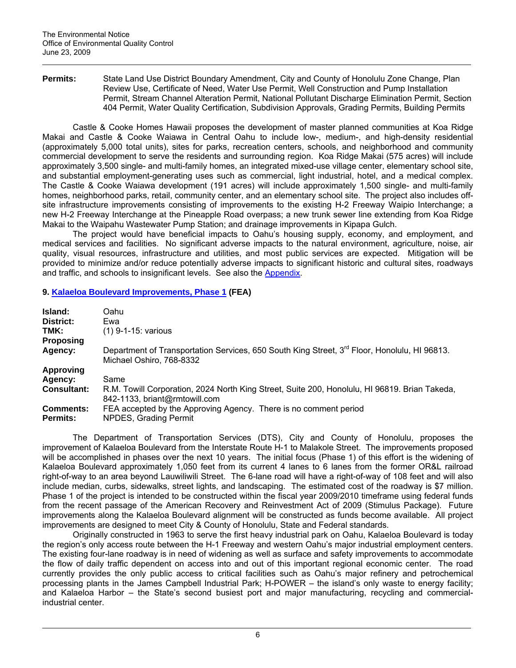**Permits:** State Land Use District Boundary Amendment, City and County of Honolulu Zone Change, Plan Review Use, Certificate of Need, Water Use Permit, Well Construction and Pump Installation Permit, Stream Channel Alteration Permit, National Pollutant Discharge Elimination Permit, Section 404 Permit, Water Quality Certification, Subdivision Approvals, Grading Permits, Building Permits

Castle & Cooke Homes Hawaii proposes the development of master planned communities at Koa Ridge Makai and Castle & Cooke Waiawa in Central Oahu to include low-, medium-, and high-density residential (approximately 5,000 total units), sites for parks, recreation centers, schools, and neighborhood and community commercial development to serve the residents and surrounding region. Koa Ridge Makai (575 acres) will include approximately 3,500 single- and multi-family homes, an integrated mixed-use village center, elementary school site, and substantial employment-generating uses such as commercial, light industrial, hotel, and a medical complex. The Castle & Cooke Waiawa development (191 acres) will include approximately 1,500 single- and multi-family homes, neighborhood parks, retail, community center, and an elementary school site. The project also includes offsite infrastructure improvements consisting of improvements to the existing H-2 Freeway Waipio Interchange; a new H-2 Freeway Interchange at the Pineapple Road overpass; a new trunk sewer line extending from Koa Ridge Makai to the Waipahu Wastewater Pump Station; and drainage improvements in Kipapa Gulch.

The project would have beneficial impacts to Oahu's housing supply, economy, and employment, and medical services and facilities. No significant adverse impacts to the natural environment, agriculture, noise, air quality, visual resources, infrastructure and utilities, and most public services are expected. Mitigation will be provided to minimize and/or reduce potentially adverse impacts to significant historic and cultural sites, roadways and traffic, and schools to insignificant levels. See also the [Appendix](http://oeqc.doh.hawaii.gov/Shared%20Documents/EA_and_EIS_Online_Library/Oahu/2000s/2009-06-23-OA-FEIS-Koa-Ridge-Waiawa-App.pdf).

# **9. [Kalaeloa Boulevard Improvements, Phase 1](http://oeqc.doh.hawaii.gov/Shared%20Documents/EA_and_EIS_Online_Library/Oahu/2000s/2009-06-23-OA-FEA-Kalaeloa-Blvd-Imp.pdf) (FEA)**

| Island:<br>District:                | Oahu<br>Ewa                                                                                                                          |
|-------------------------------------|--------------------------------------------------------------------------------------------------------------------------------------|
| TMK:                                | $(1)$ 9-1-15: various                                                                                                                |
| <b>Proposing</b>                    |                                                                                                                                      |
| Agency:                             | Department of Transportation Services, 650 South King Street, 3 <sup>rd</sup> Floor, Honolulu, HI 96813.<br>Michael Oshiro, 768-8332 |
| <b>Approving</b>                    |                                                                                                                                      |
| Agency:                             | Same                                                                                                                                 |
| <b>Consultant:</b>                  | R.M. Towill Corporation, 2024 North King Street, Suite 200, Honolulu, HI 96819. Brian Takeda,<br>842-1133, briant@rmtowill.com       |
| <b>Comments:</b><br><b>Permits:</b> | FEA accepted by the Approving Agency. There is no comment period<br>NPDES, Grading Permit                                            |

The Department of Transportation Services (DTS), City and County of Honolulu, proposes the improvement of Kalaeloa Boulevard from the Interstate Route H-1 to Malakole Street. The improvements proposed will be accomplished in phases over the next 10 years. The initial focus (Phase 1) of this effort is the widening of Kalaeloa Boulevard approximately 1,050 feet from its current 4 lanes to 6 lanes from the former OR&L railroad right-of-way to an area beyond Lauwiliwili Street. The 6-lane road will have a right-of-way of 108 feet and will also include median, curbs, sidewalks, street lights, and landscaping. The estimated cost of the roadway is \$7 million. Phase 1 of the project is intended to be constructed within the fiscal year 2009/2010 timeframe using federal funds from the recent passage of the American Recovery and Reinvestment Act of 2009 (Stimulus Package). Future improvements along the Kalaeloa Boulevard alignment will be constructed as funds become available. All project improvements are designed to meet City & County of Honolulu, State and Federal standards.

Originally constructed in 1963 to serve the first heavy industrial park on Oahu, Kalaeloa Boulevard is today the region's only access route between the H-1 Freeway and western Oahu's major industrial employment centers. The existing four-lane roadway is in need of widening as well as surface and safety improvements to accommodate the flow of daily traffic dependent on access into and out of this important regional economic center. The road currently provides the only public access to critical facilities such as Oahu's major refinery and petrochemical processing plants in the James Campbell Industrial Park; H-POWER – the island's only waste to energy facility; and Kalaeloa Harbor – the State's second busiest port and major manufacturing, recycling and commercialindustrial center.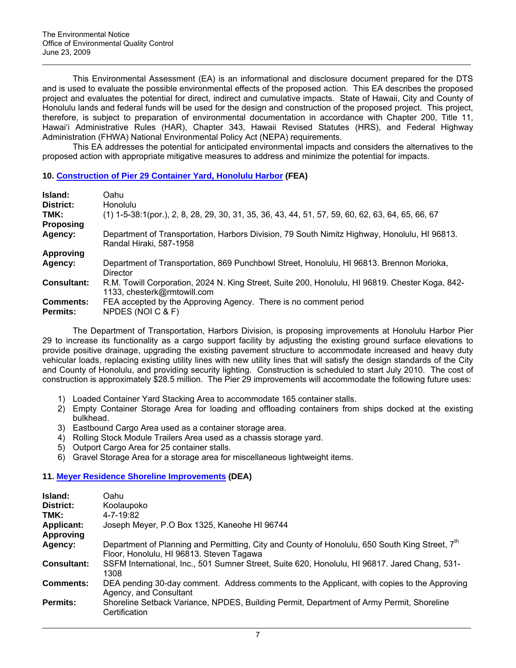This Environmental Assessment (EA) is an informational and disclosure document prepared for the DTS and is used to evaluate the possible environmental effects of the proposed action. This EA describes the proposed project and evaluates the potential for direct, indirect and cumulative impacts. State of Hawaii, City and County of Honolulu lands and federal funds will be used for the design and construction of the proposed project. This project, therefore, is subject to preparation of environmental documentation in accordance with Chapter 200, Title 11, Hawai'i Administrative Rules (HAR), Chapter 343, Hawaii Revised Statutes (HRS), and Federal Highway Administration (FHWA) National Environmental Policy Act (NEPA) requirements.

This EA addresses the potential for anticipated environmental impacts and considers the alternatives to the proposed action with appropriate mitigative measures to address and minimize the potential for impacts.

# **10. [Construction of Pier 29 Container Yard, Honolulu Harbor](http://oeqc.doh.hawaii.gov/Shared%20Documents/EA_and_EIS_Online_Library/Oahu/2000s/2009-06-23-OA-FEA-Pier-29-Container-Yard.pdf) (FEA)**

| Island:<br>District:                | Oahu<br><b>Honolulu</b>                                                                                                        |
|-------------------------------------|--------------------------------------------------------------------------------------------------------------------------------|
| TMK:<br><b>Proposing</b>            | $(1)$ 1-5-38:1(por.), 2, 8, 28, 29, 30, 31, 35, 36, 43, 44, 51, 57, 59, 60, 62, 63, 64, 65, 66, 67                             |
| Agency:                             | Department of Transportation, Harbors Division, 79 South Nimitz Highway, Honolulu, HI 96813.<br>Randal Hiraki, 587-1958        |
| <b>Approving</b>                    |                                                                                                                                |
| Agency:                             | Department of Transportation, 869 Punchbowl Street, Honolulu, HI 96813. Brennon Morioka,<br>Director                           |
| <b>Consultant:</b>                  | R.M. Towill Corporation, 2024 N. King Street, Suite 200, Honolulu, HI 96819. Chester Koga, 842-<br>1133, chesterk@rmtowill.com |
| <b>Comments:</b><br><b>Permits:</b> | FEA accepted by the Approving Agency. There is no comment period<br>NPDES (NOI C & F)                                          |

The Department of Transportation, Harbors Division, is proposing improvements at Honolulu Harbor Pier 29 to increase its functionality as a cargo support facility by adjusting the existing ground surface elevations to provide positive drainage, upgrading the existing pavement structure to accommodate increased and heavy duty vehicular loads, replacing existing utility lines with new utility lines that will satisfy the design standards of the City and County of Honolulu, and providing security lighting. Construction is scheduled to start July 2010. The cost of construction is approximately \$28.5 million. The Pier 29 improvements will accommodate the following future uses:

- 1) Loaded Container Yard Stacking Area to accommodate 165 container stalls.
- 2) Empty Container Storage Area for loading and offloading containers from ships docked at the existing bulkhead.
- 3) Eastbound Cargo Area used as a container storage area.
- 4) Rolling Stock Module Trailers Area used as a chassis storage yard.
- 5) Outport Cargo Area for 25 container stalls.
- 6) Gravel Storage Area for a storage area for miscellaneous lightweight items.

# **11. [Meyer Residence Shoreline Improvements](http://oeqc.doh.hawaii.gov/Shared%20Documents/EA_and_EIS_Online_Library/Oahu/2000s/2009-06-23-OA-DEA-Meyer-Residence.pdf) (DEA)**

| Island:            | Oahu                                                                                                                                                   |  |
|--------------------|--------------------------------------------------------------------------------------------------------------------------------------------------------|--|
| District:          | Koolaupoko                                                                                                                                             |  |
| TMK:               | 4-7-19:82                                                                                                                                              |  |
| <b>Applicant:</b>  | Joseph Meyer, P.O Box 1325, Kaneohe HI 96744                                                                                                           |  |
| <b>Approving</b>   |                                                                                                                                                        |  |
| Agency:            | Department of Planning and Permitting, City and County of Honolulu, 650 South King Street. 7 <sup>th</sup><br>Floor, Honolulu, HI 96813. Steven Tagawa |  |
| <b>Consultant:</b> | SSFM International, Inc., 501 Sumner Street, Suite 620, Honolulu, HI 96817. Jared Chang, 531-<br>1308                                                  |  |
| <b>Comments:</b>   | DEA pending 30-day comment. Address comments to the Applicant, with copies to the Approving<br>Agency, and Consultant                                  |  |
| Permits:           | Shoreline Setback Variance, NPDES, Building Permit, Department of Army Permit, Shoreline<br>Certification                                              |  |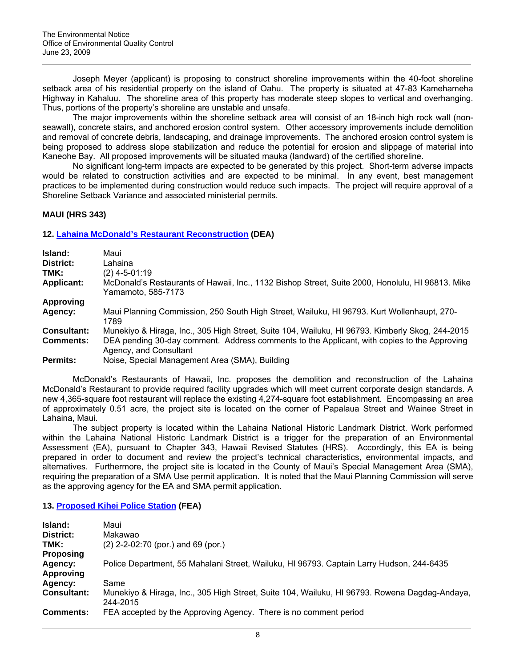Joseph Meyer (applicant) is proposing to construct shoreline improvements within the 40-foot shoreline setback area of his residential property on the island of Oahu. The property is situated at 47-83 Kamehameha Highway in Kahaluu. The shoreline area of this property has moderate steep slopes to vertical and overhanging. Thus, portions of the property's shoreline are unstable and unsafe.

The major improvements within the shoreline setback area will consist of an 18-inch high rock wall (nonseawall), concrete stairs, and anchored erosion control system. Other accessory improvements include demolition and removal of concrete debris, landscaping, and drainage improvements. The anchored erosion control system is being proposed to address slope stabilization and reduce the potential for erosion and slippage of material into Kaneohe Bay. All proposed improvements will be situated mauka (landward) of the certified shoreline.

No significant long-term impacts are expected to be generated by this project. Short-term adverse impacts would be related to construction activities and are expected to be minimal. In any event, best management practices to be implemented during construction would reduce such impacts. The project will require approval of a Shoreline Setback Variance and associated ministerial permits.

# **MAUI (HRS 343)**

# **12. [Lahaina McDonald's Restaurant Reconstruction](http://oeqc.doh.hawaii.gov/Shared%20Documents/EA_and_EIS_Online_Library/Maui/2000s/2009-06-23-MA-DEA-Lahaina-McDonalds.pdf) (DEA)**

| Island:<br>District: | Maui<br>Lahaina                                                                                                        |
|----------------------|------------------------------------------------------------------------------------------------------------------------|
| TMK:                 | (2) 4-5-01:19                                                                                                          |
| <b>Applicant:</b>    | McDonald's Restaurants of Hawaii, Inc., 1132 Bishop Street, Suite 2000, Honolulu, HI 96813. Mike<br>Yamamoto, 585-7173 |
| Approving            |                                                                                                                        |
| Agency:              | Maui Planning Commission, 250 South High Street, Wailuku, HI 96793. Kurt Wollenhaupt, 270-<br>1789                     |
| <b>Consultant:</b>   | Munekiyo & Hiraga, Inc., 305 High Street, Suite 104, Wailuku, HI 96793. Kimberly Skog, 244-2015                        |
| <b>Comments:</b>     | DEA pending 30-day comment. Address comments to the Applicant, with copies to the Approving<br>Agency, and Consultant  |
| <b>Permits:</b>      | Noise, Special Management Area (SMA), Building                                                                         |

McDonald's Restaurants of Hawaii, Inc. proposes the demolition and reconstruction of the Lahaina McDonald's Restaurant to provide required facility upgrades which will meet current corporate design standards. A new 4,365-square foot restaurant will replace the existing 4,274-square foot establishment. Encompassing an area of approximately 0.51 acre, the project site is located on the corner of Papalaua Street and Wainee Street in Lahaina, Maui.

The subject property is located within the Lahaina National Historic Landmark District. Work performed within the Lahaina National Historic Landmark District is a trigger for the preparation of an Environmental Assessment (EA), pursuant to Chapter 343, Hawaii Revised Statutes (HRS). Accordingly, this EA is being prepared in order to document and review the project's technical characteristics, environmental impacts, and alternatives. Furthermore, the project site is located in the County of Maui's Special Management Area (SMA), requiring the preparation of a SMA Use permit application. It is noted that the Maui Planning Commission will serve as the approving agency for the EA and SMA permit application.

### **13. [Proposed Kihei Police Station](http://oeqc.doh.hawaii.gov/Shared%20Documents/EA_and_EIS_Online_Library/Maui/2000s/2009-06-23-MA-FEA-Kihei-Police-Station.pdf) (FEA)**

| Island:            | Maui                                                                                                      |
|--------------------|-----------------------------------------------------------------------------------------------------------|
| District:          | Makawao                                                                                                   |
| TMK:               | $(2)$ 2-2-02:70 (por.) and 69 (por.)                                                                      |
| <b>Proposing</b>   |                                                                                                           |
| Agency:            | Police Department, 55 Mahalani Street, Wailuku, HI 96793. Captain Larry Hudson, 244-6435                  |
| Approving          |                                                                                                           |
| Agency:            | Same                                                                                                      |
| <b>Consultant:</b> | Munekiyo & Hiraga, Inc., 305 High Street, Suite 104, Wailuku, HI 96793. Rowena Dagdag-Andaya,<br>244-2015 |
| <b>Comments:</b>   | FEA accepted by the Approving Agency. There is no comment period                                          |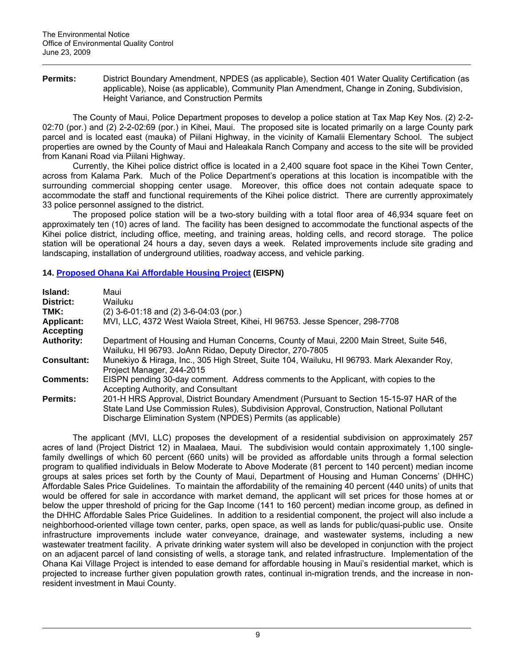Permits: District Boundary Amendment, NPDES (as applicable), Section 401 Water Quality Certification (as applicable), Noise (as applicable), Community Plan Amendment, Change in Zoning, Subdivision, Height Variance, and Construction Permits

The County of Maui, Police Department proposes to develop a police station at Tax Map Key Nos. (2) 2-2- 02:70 (por.) and (2) 2-2-02:69 (por.) in Kihei, Maui. The proposed site is located primarily on a large County park parcel and is located east (mauka) of Piilani Highway, in the vicinity of Kamalii Elementary School. The subject properties are owned by the County of Maui and Haleakala Ranch Company and access to the site will be provided from Kanani Road via Piilani Highway.

Currently, the Kihei police district office is located in a 2,400 square foot space in the Kihei Town Center, across from Kalama Park. Much of the Police Department's operations at this location is incompatible with the surrounding commercial shopping center usage. Moreover, this office does not contain adequate space to accommodate the staff and functional requirements of the Kihei police district. There are currently approximately 33 police personnel assigned to the district.

The proposed police station will be a two-story building with a total floor area of 46,934 square feet on approximately ten (10) acres of land. The facility has been designed to accommodate the functional aspects of the Kihei police district, including office, meeting, and training areas, holding cells, and record storage. The police station will be operational 24 hours a day, seven days a week. Related improvements include site grading and landscaping, installation of underground utilities, roadway access, and vehicle parking.

# **14. [Proposed Ohana Kai Affordable Housing Project](http://oeqc.doh.hawaii.gov/Shared%20Documents/EA_and_EIS_Online_Library/Maui/2000s/2009-06-23-MA-EISPN-Ohana-Kai-Village.pdf) (EISPN)**

| Island:<br>District:<br>TMK:<br><b>Applicant:</b><br><b>Accepting</b> | Maui<br>Wailuku<br>$(2)$ 3-6-01:18 and $(2)$ 3-6-04:03 (por.)<br>MVI, LLC, 4372 West Waiola Street, Kihei, HI 96753. Jesse Spencer, 298-7708                                                                                                         |
|-----------------------------------------------------------------------|------------------------------------------------------------------------------------------------------------------------------------------------------------------------------------------------------------------------------------------------------|
| <b>Authority:</b>                                                     | Department of Housing and Human Concerns, County of Maui, 2200 Main Street, Suite 546,<br>Wailuku, HI 96793. JoAnn Ridao, Deputy Director, 270-7805                                                                                                  |
| <b>Consultant:</b>                                                    | Munekiyo & Hiraga, Inc., 305 High Street, Suite 104, Wailuku, HI 96793. Mark Alexander Roy,<br>Project Manager, 244-2015                                                                                                                             |
| <b>Comments:</b>                                                      | EISPN pending 30-day comment. Address comments to the Applicant, with copies to the<br>Accepting Authority, and Consultant                                                                                                                           |
| Permits:                                                              | 201-H HRS Approval, District Boundary Amendment (Pursuant to Section 15-15-97 HAR of the<br>State Land Use Commission Rules), Subdivision Approval, Construction, National Pollutant<br>Discharge Elimination System (NPDES) Permits (as applicable) |

The applicant (MVI, LLC) proposes the development of a residential subdivision on approximately 257 acres of land (Project District 12) in Maalaea, Maui. The subdivision would contain approximately 1,100 singlefamily dwellings of which 60 percent (660 units) will be provided as affordable units through a formal selection program to qualified individuals in Below Moderate to Above Moderate (81 percent to 140 percent) median income groups at sales prices set forth by the County of Maui, Department of Housing and Human Concerns' (DHHC) Affordable Sales Price Guidelines. To maintain the affordability of the remaining 40 percent (440 units) of units that would be offered for sale in accordance with market demand, the applicant will set prices for those homes at or below the upper threshold of pricing for the Gap Income (141 to 160 percent) median income group, as defined in the DHHC Affordable Sales Price Guidelines. In addition to a residential component, the project will also include a neighborhood-oriented village town center, parks, open space, as well as lands for public/quasi-public use. Onsite infrastructure improvements include water conveyance, drainage, and wastewater systems, including a new wastewater treatment facility. A private drinking water system will also be developed in conjunction with the project on an adjacent parcel of land consisting of wells, a storage tank, and related infrastructure. Implementation of the Ohana Kai Village Project is intended to ease demand for affordable housing in Maui's residential market, which is projected to increase further given population growth rates, continual in-migration trends, and the increase in nonresident investment in Maui County.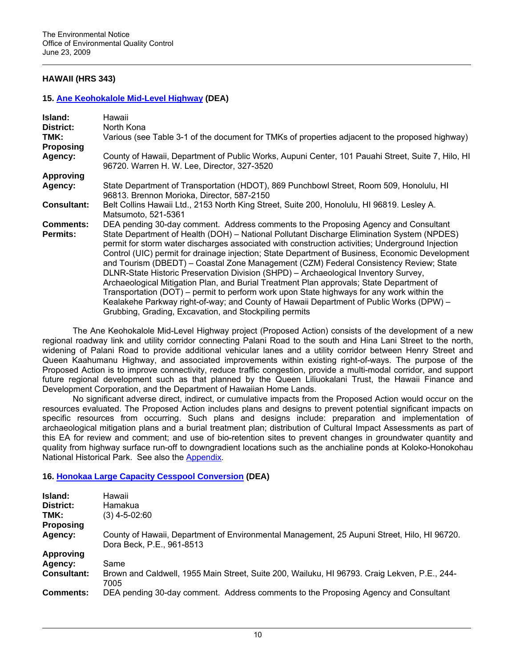# **HAWAII (HRS 343)**

### **15. [Ane Keohokalole Mid-Level Highway](http://oeqc.doh.hawaii.gov/Shared%20Documents/EA_and_EIS_Online_Library/Hawaii/2000s/2009-06-23-HA-DEA-Ane-Keohokalole-Hwy.pdf) (DEA)**

| Island:                             | Hawaii                                                                                                                                                                                   |
|-------------------------------------|------------------------------------------------------------------------------------------------------------------------------------------------------------------------------------------|
| District:                           | North Kona                                                                                                                                                                               |
| TMK:                                | Various (see Table 3-1 of the document for TMKs of properties adjacent to the proposed highway)                                                                                          |
| <b>Proposing</b>                    |                                                                                                                                                                                          |
| Agency:                             | County of Hawaii, Department of Public Works, Aupuni Center, 101 Pauahi Street, Suite 7, Hilo, HI<br>96720. Warren H. W. Lee, Director, 327-3520                                         |
| <b>Approving</b>                    |                                                                                                                                                                                          |
| Agency:                             | State Department of Transportation (HDOT), 869 Punchbowl Street, Room 509, Honolulu, HI<br>96813. Brennon Morioka, Director, 587-2150                                                    |
| <b>Consultant:</b>                  | Belt Collins Hawaii Ltd., 2153 North King Street, Suite 200, Honolulu, HI 96819. Lesley A.<br>Matsumoto, 521-5361                                                                        |
| <b>Comments:</b><br><b>Permits:</b> | DEA pending 30-day comment. Address comments to the Proposing Agency and Consultant<br>State Department of Health (DOH) – National Pollutant Discharge Elimination System (NPDES)        |
|                                     | permit for storm water discharges associated with construction activities; Underground Injection                                                                                         |
|                                     | Control (UIC) permit for drainage injection; State Department of Business, Economic Development<br>and Tourism (DBEDT) – Coastal Zone Management (CZM) Federal Consistency Review; State |
|                                     | DLNR-State Historic Preservation Division (SHPD) - Archaeological Inventory Survey,                                                                                                      |
|                                     | Archaeological Mitigation Plan, and Burial Treatment Plan approvals; State Department of                                                                                                 |
|                                     | Transportation (DOT) – permit to perform work upon State highways for any work within the                                                                                                |
|                                     | Kealakehe Parkway right-of-way; and County of Hawaii Department of Public Works (DPW) -                                                                                                  |
|                                     | Grubbing, Grading, Excavation, and Stockpiling permits                                                                                                                                   |

The Ane Keohokalole Mid-Level Highway project (Proposed Action) consists of the development of a new regional roadway link and utility corridor connecting Palani Road to the south and Hina Lani Street to the north, widening of Palani Road to provide additional vehicular lanes and a utility corridor between Henry Street and Queen Kaahumanu Highway, and associated improvements within existing right-of-ways. The purpose of the Proposed Action is to improve connectivity, reduce traffic congestion, provide a multi-modal corridor, and support future regional development such as that planned by the Queen Liliuokalani Trust, the Hawaii Finance and Development Corporation, and the Department of Hawaiian Home Lands.

No significant adverse direct, indirect, or cumulative impacts from the Proposed Action would occur on the resources evaluated. The Proposed Action includes plans and designs to prevent potential significant impacts on specific resources from occurring. Such plans and designs include: preparation and implementation of archaeological mitigation plans and a burial treatment plan; distribution of Cultural Impact Assessments as part of this EA for review and comment; and use of bio-retention sites to prevent changes in groundwater quantity and quality from highway surface run-off to downgradient locations such as the anchialine ponds at Koloko-Honokohau National Historical Park. See also the [Appendix.](http://oeqc.doh.hawaii.gov/Shared%20Documents/EA_and_EIS_Online_Library/Hawaii/2000s/2009-06-23-HA-DEA-Ane-Keohokalole-Hwy-App.pdf)

# **16. [Honokaa Large Capacity Cesspool Conversion](http://oeqc.doh.hawaii.gov/Shared%20Documents/EA_and_EIS_Online_Library/Hawaii/2000s/2009-06-23-HA-DEA-Honokaa-Large-Capacity-Cesspool-Conversion.pdf) (DEA)**

| Island:            | Hawaii                                                                                                                   |
|--------------------|--------------------------------------------------------------------------------------------------------------------------|
| District:          | Hamakua                                                                                                                  |
| TMK:               | (3) 4-5-02:60                                                                                                            |
| Proposing          |                                                                                                                          |
| Agency:            | County of Hawaii, Department of Environmental Management, 25 Aupuni Street, Hilo, HI 96720.<br>Dora Beck, P.E., 961-8513 |
| Approving          |                                                                                                                          |
| Agency:            | Same                                                                                                                     |
| <b>Consultant:</b> | Brown and Caldwell, 1955 Main Street, Suite 200, Wailuku, HI 96793. Craig Lekven, P.E., 244-<br>7005                     |
| <b>Comments:</b>   | DEA pending 30-day comment. Address comments to the Proposing Agency and Consultant                                      |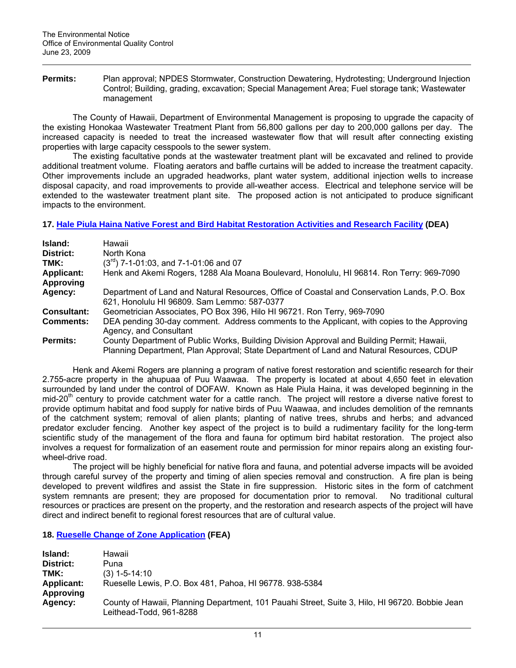**Permits:** Plan approval; NPDES Stormwater, Construction Dewatering, Hydrotesting; Underground Injection Control; Building, grading, excavation; Special Management Area; Fuel storage tank; Wastewater management

The County of Hawaii, Department of Environmental Management is proposing to upgrade the capacity of the existing Honokaa Wastewater Treatment Plant from 56,800 gallons per day to 200,000 gallons per day. The increased capacity is needed to treat the increased wastewater flow that will result after connecting existing properties with large capacity cesspools to the sewer system.

The existing facultative ponds at the wastewater treatment plant will be excavated and relined to provide additional treatment volume. Floating aerators and baffle curtains will be added to increase the treatment capacity. Other improvements include an upgraded headworks, plant water system, additional injection wells to increase disposal capacity, and road improvements to provide all-weather access. Electrical and telephone service will be extended to the wastewater treatment plant site. The proposed action is not anticipated to produce significant impacts to the environment.

**17. [Hale Piula Haina Native Forest and Bird Habitat Restoration Activities and Research Facility](http://oeqc.doh.hawaii.gov/Shared%20Documents/EA_and_EIS_Online_Library/Hawaii/2000s/2009-06-23-HA-DEA-Hale-Piula-Haina-Native-Forest-Bird-Habitat-Restoration.pdf) (DEA)** 

| Island:           | Hawaii                                                                                                                                                                                 |
|-------------------|----------------------------------------------------------------------------------------------------------------------------------------------------------------------------------------|
| District:         | North Kona                                                                                                                                                                             |
| TMK:              | $(3^{rd})$ 7-1-01:03, and 7-1-01:06 and 07                                                                                                                                             |
| <b>Applicant:</b> | Henk and Akemi Rogers, 1288 Ala Moana Boulevard, Honolulu, HI 96814. Ron Terry: 969-7090                                                                                               |
| Approving         |                                                                                                                                                                                        |
| Agency:           | Department of Land and Natural Resources, Office of Coastal and Conservation Lands, P.O. Box<br>621, Honolulu HI 96809. Sam Lemmo: 587-0377                                            |
| Consultant:       | Geometrician Associates, PO Box 396, Hilo HI 96721. Ron Terry, 969-7090                                                                                                                |
| <b>Comments:</b>  | DEA pending 30-day comment. Address comments to the Applicant, with copies to the Approving<br>Agency, and Consultant                                                                  |
| <b>Permits:</b>   | County Department of Public Works, Building Division Approval and Building Permit; Hawaii,<br>Planning Department, Plan Approval; State Department of Land and Natural Resources, CDUP |

 Henk and Akemi Rogers are planning a program of native forest restoration and scientific research for their 2.755-acre property in the ahupuaa of Puu Waawaa. The property is located at about 4,650 feet in elevation surrounded by land under the control of DOFAW. Known as Hale Piula Haina, it was developed beginning in the mid-20<sup>th</sup> century to provide catchment water for a cattle ranch. The project will restore a diverse native forest to provide optimum habitat and food supply for native birds of Puu Waawaa, and includes demolition of the remnants of the catchment system; removal of alien plants; planting of native trees, shrubs and herbs; and advanced predator excluder fencing. Another key aspect of the project is to build a rudimentary facility for the long-term scientific study of the management of the flora and fauna for optimum bird habitat restoration. The project also involves a request for formalization of an easement route and permission for minor repairs along an existing fourwheel-drive road.

The project will be highly beneficial for native flora and fauna, and potential adverse impacts will be avoided through careful survey of the property and timing of alien species removal and construction. A fire plan is being developed to prevent wildfires and assist the State in fire suppression. Historic sites in the form of catchment system remnants are present; they are proposed for documentation prior to removal. No traditional cultural resources or practices are present on the property, and the restoration and research aspects of the project will have direct and indirect benefit to regional forest resources that are of cultural value.

**18. [Rueselle Change of Zone Application](http://oeqc.doh.hawaii.gov/Shared%20Documents/EA_and_EIS_Online_Library/Hawaii/2000s/2009-06-23-HA-FEA-Rueselle-Zone-Change.pdf) (FEA)** 

| Island:           | Hawaii                                                                                                                    |
|-------------------|---------------------------------------------------------------------------------------------------------------------------|
| District:         | Puna                                                                                                                      |
| TMK:              | $(3)$ 1-5-14:10                                                                                                           |
| <b>Applicant:</b> | Rueselle Lewis, P.O. Box 481, Pahoa, HI 96778. 938-5384                                                                   |
| Approving         |                                                                                                                           |
| Agency:           | County of Hawaii, Planning Department, 101 Pauahi Street, Suite 3, Hilo, HI 96720. Bobbie Jean<br>Leithead-Todd, 961-8288 |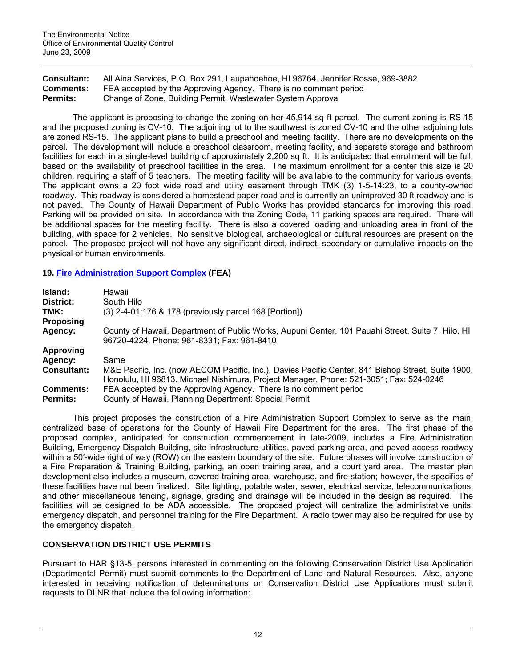| <b>Consultant:</b> | All Aina Services, P.O. Box 291, Laupahoehoe, HI 96764. Jennifer Rosse, 969-3882 |
|--------------------|----------------------------------------------------------------------------------|
| <b>Comments:</b>   | FEA accepted by the Approving Agency. There is no comment period                 |
| <b>Permits:</b>    | Change of Zone, Building Permit, Wastewater System Approval                      |

The applicant is proposing to change the zoning on her 45,914 sq ft parcel. The current zoning is RS-15 and the proposed zoning is CV-10. The adjoining lot to the southwest is zoned CV-10 and the other adjoining lots are zoned RS-15. The applicant plans to build a preschool and meeting facility. There are no developments on the parcel. The development will include a preschool classroom, meeting facility, and separate storage and bathroom facilities for each in a single-level building of approximately 2,200 sq ft. It is anticipated that enrollment will be full, based on the availability of preschool facilities in the area. The maximum enrollment for a center this size is 20 children, requiring a staff of 5 teachers. The meeting facility will be available to the community for various events. The applicant owns a 20 foot wide road and utility easement through TMK (3) 1-5-14:23, to a county-owned roadway. This roadway is considered a homestead paper road and is currently an unimproved 30 ft roadway and is not paved. The County of Hawaii Department of Public Works has provided standards for improving this road. Parking will be provided on site. In accordance with the Zoning Code, 11 parking spaces are required. There will be additional spaces for the meeting facility. There is also a covered loading and unloading area in front of the building, with space for 2 vehicles. No sensitive biological, archaeological or cultural resources are present on the parcel. The proposed project will not have any significant direct, indirect, secondary or cumulative impacts on the physical or human environments.

# **19. [Fire Administration Support Complex](http://oeqc.doh.hawaii.gov/Shared%20Documents/EA_and_EIS_Online_Library/Hawaii/2000s/2009-06-23-HA-FEA-Fire-Admin-Support-Complex.pdf) (FEA)**

| Island:            | Hawaii                                                                                                                                                                                       |
|--------------------|----------------------------------------------------------------------------------------------------------------------------------------------------------------------------------------------|
| District:          | South Hilo                                                                                                                                                                                   |
| TMK:               | $(3)$ 2-4-01:176 & 178 (previously parcel 168 [Portion])                                                                                                                                     |
| <b>Proposing</b>   |                                                                                                                                                                                              |
| Agency:            | County of Hawaii, Department of Public Works, Aupuni Center, 101 Pauahi Street, Suite 7, Hilo, HI<br>96720-4224. Phone: 961-8331; Fax: 961-8410                                              |
| <b>Approving</b>   |                                                                                                                                                                                              |
| Agency:            | Same                                                                                                                                                                                         |
| <b>Consultant:</b> | M&E Pacific, Inc. (now AECOM Pacific, Inc.), Davies Pacific Center, 841 Bishop Street, Suite 1900,<br>Honolulu, HI 96813. Michael Nishimura, Project Manager, Phone: 521-3051; Fax: 524-0246 |
| <b>Comments:</b>   | FEA accepted by the Approving Agency. There is no comment period                                                                                                                             |
| <b>Permits:</b>    | County of Hawaii, Planning Department: Special Permit                                                                                                                                        |

This project proposes the construction of a Fire Administration Support Complex to serve as the main, centralized base of operations for the County of Hawaii Fire Department for the area. The first phase of the proposed complex, anticipated for construction commencement in late-2009, includes a Fire Administration Building, Emergency Dispatch Building, site infrastructure utilities, paved parking area, and paved access roadway within a 50′-wide right of way (ROW) on the eastern boundary of the site. Future phases will involve construction of a Fire Preparation & Training Building, parking, an open training area, and a court yard area. The master plan development also includes a museum, covered training area, warehouse, and fire station; however, the specifics of these facilities have not been finalized. Site lighting, potable water, sewer, electrical service, telecommunications, and other miscellaneous fencing, signage, grading and drainage will be included in the design as required. The facilities will be designed to be ADA accessible. The proposed project will centralize the administrative units, emergency dispatch, and personnel training for the Fire Department. A radio tower may also be required for use by the emergency dispatch.

# **CONSERVATION DISTRICT USE PERMITS**

Pursuant to HAR §13-5, persons interested in commenting on the following Conservation District Use Application (Departmental Permit) must submit comments to the Department of Land and Natural Resources. Also, anyone interested in receiving notification of determinations on Conservation District Use Applications must submit requests to DLNR that include the following information: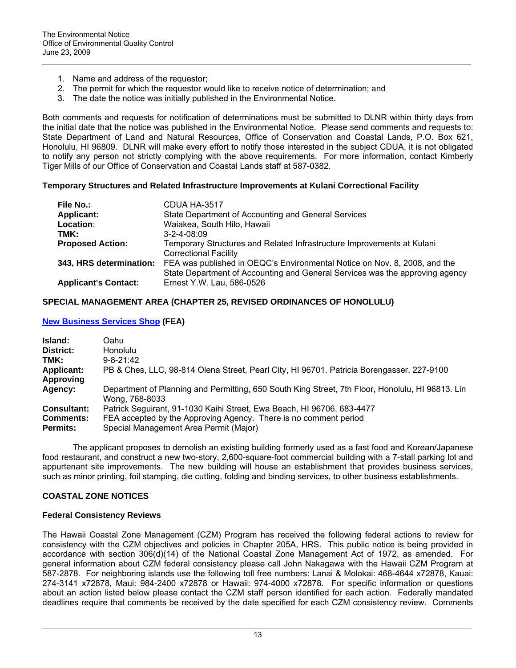- 1. Name and address of the requestor;
- 2. The permit for which the requestor would like to receive notice of determination; and
- 3. The date the notice was initially published in the Environmental Notice.

Both comments and requests for notification of determinations must be submitted to DLNR within thirty days from the initial date that the notice was published in the Environmental Notice. Please send comments and requests to: State Department of Land and Natural Resources, Office of Conservation and Coastal Lands, P.O. Box 621, Honolulu, HI 96809. DLNR will make every effort to notify those interested in the subject CDUA, it is not obligated to notify any person not strictly complying with the above requirements. For more information, contact Kimberly Tiger Mills of our Office of Conservation and Coastal Lands staff at 587-0382.

### **Temporary Structures and Related Infrastructure Improvements at Kulani Correctional Facility**

| File No.:                   | CDUA HA-3517                                                                 |
|-----------------------------|------------------------------------------------------------------------------|
| <b>Applicant:</b>           | State Department of Accounting and General Services                          |
| Location:                   | Waiakea, South Hilo, Hawaii                                                  |
| TMK:                        | $3 - 2 - 4 - 08:09$                                                          |
| <b>Proposed Action:</b>     | Temporary Structures and Related Infrastructure Improvements at Kulani       |
|                             | <b>Correctional Facility</b>                                                 |
| 343, HRS determination:     | FEA was published in OEQC's Environmental Notice on Nov. 8, 2008, and the    |
|                             | State Department of Accounting and General Services was the approving agency |
| <b>Applicant's Contact:</b> | Ernest Y.W. Lau, 586-0526                                                    |

### **SPECIAL MANAGEMENT AREA (CHAPTER 25, REVISED ORDINANCES OF HONOLULU)**

### **[New Business Services Shop](http://oeqc.doh.hawaii.gov/Shared%20Documents/EA_and_EIS_Online_Library/Oahu/2000s/2009-06-23-OA-FEA-New-Business-Services-Shop.pdf) (FEA)**

| Island:<br>District:<br>TMK:<br><b>Applicant:</b><br>Approving | Oahu<br><b>Honolulu</b><br>$9 - 8 - 21.42$<br>PB & Ches, LLC, 98-814 Olena Street, Pearl City, HI 96701. Patricia Borengasser, 227-9100                                              |
|----------------------------------------------------------------|--------------------------------------------------------------------------------------------------------------------------------------------------------------------------------------|
| Agency:                                                        | Department of Planning and Permitting, 650 South King Street, 7th Floor, Honolulu, HI 96813. Lin<br>Wong. 768-8033                                                                   |
| <b>Consultant:</b><br><b>Comments:</b><br><b>Permits:</b>      | Patrick Seguirant, 91-1030 Kaihi Street, Ewa Beach, HI 96706. 683-4477<br>FEA accepted by the Approving Agency. There is no comment period<br>Special Management Area Permit (Major) |

The applicant proposes to demolish an existing building formerly used as a fast food and Korean/Japanese food restaurant, and construct a new two-story, 2,600-square-foot commercial building with a 7-stall parking lot and appurtenant site improvements. The new building will house an establishment that provides business services, such as minor printing, foil stamping, die cutting, folding and binding services, to other business establishments.

# **COASTAL ZONE NOTICES**

### **Federal Consistency Reviews**

The Hawaii Coastal Zone Management (CZM) Program has received the following federal actions to review for consistency with the CZM objectives and policies in Chapter 205A, HRS. This public notice is being provided in accordance with section 306(d)(14) of the National Coastal Zone Management Act of 1972, as amended. For general information about CZM federal consistency please call John Nakagawa with the Hawaii CZM Program at 587-2878. For neighboring islands use the following toll free numbers: Lanai & Molokai: 468-4644 x72878, Kauai: 274-3141 x72878, Maui: 984-2400 x72878 or Hawaii: 974-4000 x72878. For specific information or questions about an action listed below please contact the CZM staff person identified for each action. Federally mandated deadlines require that comments be received by the date specified for each CZM consistency review. Comments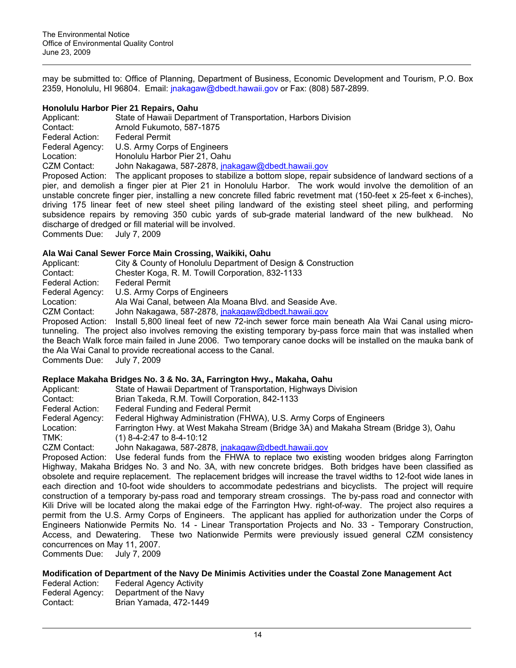may be submitted to: Office of Planning, Department of Business, Economic Development and Tourism, P.O. Box 2359, Honolulu, HI 96804. Email: [jnakagaw@dbedt.hawaii.gov](mailto:jnakagaw@dbedt.hawaii.gov) or Fax: (808) 587-2899.

### **Honolulu Harbor Pier 21 Repairs, Oahu**

| Applicant:                 | State of Hawaii Department of Transportation, Harbors Division                                                        |
|----------------------------|-----------------------------------------------------------------------------------------------------------------------|
| Contact:                   | Arnold Fukumoto, 587-1875                                                                                             |
| Federal Action:            | <b>Federal Permit</b>                                                                                                 |
| Federal Agency:            | U.S. Army Corps of Engineers                                                                                          |
| Location:                  | Honolulu Harbor Pier 21, Oahu                                                                                         |
| CZM Contact:               | John Nakagawa, 587-2878, jnakagaw@dbedt.hawaii.gov                                                                    |
|                            | Proposed Action: The applicant proposes to stabilize a bottom slope, repair subsidence of landward sections of a      |
|                            | pier, and demolish a finger pier at Pier 21 in Honolulu Harbor. The work would involve the demolition of an           |
|                            | unstable concrete finger pier, installing a new concrete filled fabric revetment mat (150-feet x 25-feet x 6-inches), |
|                            | driving 175 linear feet of new steel sheet piling landward of the existing steel sheet piling, and performing         |
|                            | subsidence repairs by removing 350 cubic yards of sub-grade material landward of the new bulkhead. No                 |
|                            | discharge of dredged or fill material will be involved.                                                               |
| Comments Due: July 7, 2009 |                                                                                                                       |

#### **Ala Wai Canal Sewer Force Main Crossing, Waikiki, Oahu**

| Applicant:                                                        | City & County of Honolulu Department of Design & Construction                                                   |
|-------------------------------------------------------------------|-----------------------------------------------------------------------------------------------------------------|
| Contact:                                                          | Chester Koga, R. M. Towill Corporation, 832-1133                                                                |
| Federal Action:                                                   | <b>Federal Permit</b>                                                                                           |
| Federal Agency:                                                   | U.S. Army Corps of Engineers                                                                                    |
| Location:                                                         | Ala Wai Canal, between Ala Moana Blvd. and Seaside Ave.                                                         |
| CZM Contact:                                                      | John Nakagawa, 587-2878, jnakagaw@dbedt.hawaii.gov                                                              |
|                                                                   | Proposed Action: Install 5,800 lineal feet of new 72-inch sewer force main beneath Ala Wai Canal using micro-   |
|                                                                   | tunneling. The project also involves removing the existing temporary by-pass force main that was installed when |
|                                                                   | the Beach Walk force main failed in June 2006. Two temporary canoe docks will be installed on the mauka bank of |
|                                                                   | the Ala Wai Canal to provide recreational access to the Canal.                                                  |
| $O_{\text{current}}$ $\sim$ $O_{\text{total}}$ $O_{\text{total}}$ |                                                                                                                 |

Comments Due: July 7, 2009

#### **Replace Makaha Bridges No. 3 & No. 3A, Farrington Hwy., Makaha, Oahu**

| Applicant:      | State of Hawaii Department of Transportation, Highways Division                                                                         |
|-----------------|-----------------------------------------------------------------------------------------------------------------------------------------|
| Contact:        | Brian Takeda, R.M. Towill Corporation, 842-1133                                                                                         |
| Federal Action: | Federal Funding and Federal Permit                                                                                                      |
| Federal Agency: | Federal Highway Administration (FHWA), U.S. Army Corps of Engineers                                                                     |
| Location:       | Farrington Hwy. at West Makaha Stream (Bridge 3A) and Makaha Stream (Bridge 3), Oahu                                                    |
| TMK:            | $(1)$ 8-4-2:47 to 8-4-10:12                                                                                                             |
| CZM Contact:    | John Nakagawa, 587-2878, <i>inakagaw@dbedt.hawaii.gov</i>                                                                               |
|                 | Proposed Action: Use federal funds from the FHWA to replace two existing wooden bridges along Farrington                                |
|                 | Highway, Makaha Bridges No. 3 and No. 3A, with new concrete bridges. Both bridges have been classified as                               |
|                 | . من موجودا المادية في 10 أول عام 140 مليون المربوط والمستحدة الأوروبية المستحدة المستحدة المستحدة والمستحدة المستحدة المستحدة المستحدة |

Highway, Makaha Bridges No. 3 and No. 3A, with new concrete bridges. Both bridges have been classified as obsolete and require replacement. The replacement bridges will increase the travel widths to 12-foot wide lanes in each direction and 10-foot wide shoulders to accommodate pedestrians and bicyclists. The project will require construction of a temporary by-pass road and temporary stream crossings. The by-pass road and connector with Kili Drive will be located along the makai edge of the Farrington Hwy. right-of-way. The project also requires a permit from the U.S. Army Corps of Engineers. The applicant has applied for authorization under the Corps of Engineers Nationwide Permits No. 14 - Linear Transportation Projects and No. 33 - Temporary Construction, Access, and Dewatering. These two Nationwide Permits were previously issued general CZM consistency concurrences on May 11, 2007.

Comments Due: July 7, 2009

### **Modification of Department of the Navy De Minimis Activities under the Coastal Zone Management Act**

| Federal Action: | <b>Federal Agency Activity</b> |
|-----------------|--------------------------------|
| Federal Agency: | Department of the Navy         |
| Contact:        | Brian Yamada, 472-1449         |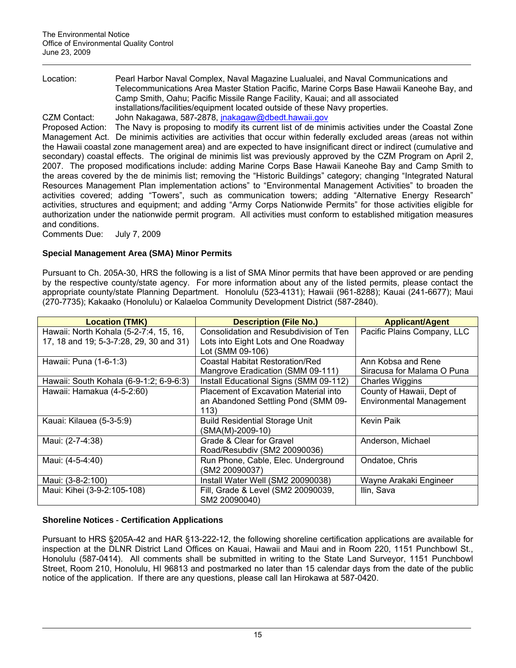Location: Pearl Harbor Naval Complex, Naval Magazine Lualualei, and Naval Communications and Telecommunications Area Master Station Pacific, Marine Corps Base Hawaii Kaneohe Bay, and Camp Smith, Oahu; Pacific Missile Range Facility, Kauai; and all associated installations/facilities/equipment located outside of these Navy properties. CZM Contact: John Nakagawa, 587-2878, [jnakagaw@dbedt.hawaii.gov](mailto:jnakagaw@dbedt.hawaii.gov)

Proposed Action: The Navy is proposing to modify its current list of de minimis activities under the Coastal Zone Management Act. De minimis activities are activities that occur within federally excluded areas (areas not within the Hawaii coastal zone management area) and are expected to have insignificant direct or indirect (cumulative and secondary) coastal effects. The original de minimis list was previously approved by the CZM Program on April 2, 2007. The proposed modifications include: adding Marine Corps Base Hawaii Kaneohe Bay and Camp Smith to the areas covered by the de minimis list; removing the "Historic Buildings" category; changing "Integrated Natural Resources Management Plan implementation actions" to "Environmental Management Activities" to broaden the activities covered; adding "Towers", such as communication towers; adding "Alternative Energy Research" activities, structures and equipment; and adding "Army Corps Nationwide Permits" for those activities eligible for authorization under the nationwide permit program. All activities must conform to established mitigation measures and conditions.

Comments Due: July 7, 2009

# **Special Management Area (SMA) Minor Permits**

Pursuant to Ch. 205A-30, HRS the following is a list of SMA Minor permits that have been approved or are pending by the respective county/state agency. For more information about any of the listed permits, please contact the appropriate county/state Planning Department. Honolulu (523-4131); Hawaii (961-8288); Kauai (241-6677); Maui (270-7735); Kakaako (Honolulu) or Kalaeloa Community Development District (587-2840).

| <b>Location (TMK)</b>                   | <b>Description (File No.)</b>          | <b>Applicant/Agent</b>          |
|-----------------------------------------|----------------------------------------|---------------------------------|
| Hawaii: North Kohala (5-2-7:4, 15, 16,  | Consolidation and Resubdivision of Ten | Pacific Plains Company, LLC     |
| 17, 18 and 19; 5-3-7:28, 29, 30 and 31) | Lots into Eight Lots and One Roadway   |                                 |
|                                         | Lot (SMM 09-106)                       |                                 |
| Hawaii: Puna (1-6-1:3)                  | <b>Coastal Habitat Restoration/Red</b> | Ann Kobsa and Rene              |
|                                         | Mangrove Eradication (SMM 09-111)      | Siracusa for Malama O Puna      |
| Hawaii: South Kohala (6-9-1:2; 6-9-6:3) | Install Educational Signs (SMM 09-112) | Charles Wiggins                 |
| Hawaii: Hamakua (4-5-2:60)              | Placement of Excavation Material into  | County of Hawaii, Dept of       |
|                                         | an Abandoned Settling Pond (SMM 09-    | <b>Environmental Management</b> |
|                                         | 113)                                   |                                 |
| Kauai: Kilauea (5-3-5:9)                | <b>Build Residential Storage Unit</b>  | <b>Kevin Paik</b>               |
|                                         | (SMA(M)-2009-10)                       |                                 |
| Maui: (2-7-4:38)                        | Grade & Clear for Gravel               | Anderson, Michael               |
|                                         | Road/Resubdiv (SM2 20090036)           |                                 |
| Maui: (4-5-4:40)                        | Run Phone, Cable, Elec. Underground    | Ondatoe, Chris                  |
|                                         | (SM2 20090037)                         |                                 |
| Maui: (3-8-2:100)                       | Install Water Well (SM2 20090038)      | Wayne Arakaki Engineer          |
| Maui: Kihei (3-9-2:105-108)             | Fill, Grade & Level (SM2 20090039,     | Ilin, Sava                      |
|                                         | SM2 20090040)                          |                                 |

# **Shoreline Notices** - **Certification Applications**

Pursuant to HRS §205A-42 and HAR §13-222-12, the following shoreline certification applications are available for inspection at the DLNR District Land Offices on Kauai, Hawaii and Maui and in Room 220, 1151 Punchbowl St., Honolulu (587-0414). All comments shall be submitted in writing to the State Land Surveyor, 1151 Punchbowl Street, Room 210, Honolulu, HI 96813 and postmarked no later than 15 calendar days from the date of the public notice of the application. If there are any questions, please call Ian Hirokawa at 587-0420.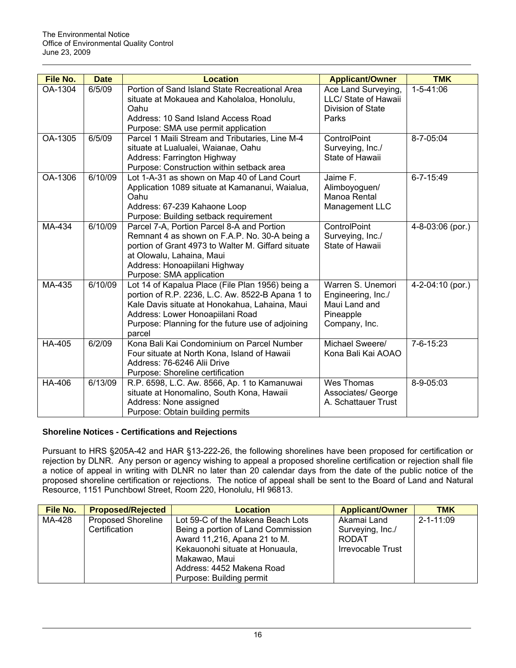| File No. | <b>Date</b> | <b>Location</b>                                                                        | <b>Applicant/Owner</b> | <b>TMK</b>       |
|----------|-------------|----------------------------------------------------------------------------------------|------------------------|------------------|
| OA-1304  | 6/5/09      | Portion of Sand Island State Recreational Area                                         | Ace Land Surveying,    | $1 - 5 - 41:06$  |
|          |             | situate at Mokauea and Kaholaloa, Honolulu,                                            | LLC/ State of Hawaii   |                  |
|          |             | Oahu                                                                                   | Division of State      |                  |
|          |             | Address: 10 Sand Island Access Road                                                    | Parks                  |                  |
| OA-1305  | 6/5/09      | Purpose: SMA use permit application<br>Parcel 1 Maili Stream and Tributaries, Line M-4 | ControlPoint           | 8-7-05:04        |
|          |             | situate at Lualualei, Waianae, Oahu                                                    | Surveying, Inc./       |                  |
|          |             | Address: Farrington Highway                                                            | State of Hawaii        |                  |
|          |             | Purpose: Construction within setback area                                              |                        |                  |
| OA-1306  | 6/10/09     | Lot 1-A-31 as shown on Map 40 of Land Court                                            | Jaime F.               | $6 - 7 - 15:49$  |
|          |             | Application 1089 situate at Kamananui, Waialua,                                        | Alimboyoguen/          |                  |
|          |             | Oahu                                                                                   | Manoa Rental           |                  |
|          |             | Address: 67-239 Kahaone Loop                                                           | Management LLC         |                  |
|          |             | Purpose: Building setback requirement                                                  |                        |                  |
| MA-434   | 6/10/09     | Parcel 7-A, Portion Parcel 8-A and Portion                                             | ControlPoint           | 4-8-03:06 (por.) |
|          |             | Remnant 4 as shown on F.A.P. No. 30-A being a                                          | Surveying, Inc./       |                  |
|          |             | portion of Grant 4973 to Walter M. Giffard situate                                     | State of Hawaii        |                  |
|          |             | at Olowalu, Lahaina, Maui                                                              |                        |                  |
|          |             | Address: Honoapiilani Highway                                                          |                        |                  |
| MA-435   | 6/10/09     | Purpose: SMA application<br>Lot 14 of Kapalua Place (File Plan 1956) being a           | Warren S. Unemori      |                  |
|          |             | portion of R.P. 2236, L.C. Aw. 8522-B Apana 1 to                                       | Engineering, Inc./     | 4-2-04:10 (por.) |
|          |             | Kale Davis situate at Honokahua, Lahaina, Maui                                         | Maui Land and          |                  |
|          |             | Address: Lower Honoapiilani Road                                                       | Pineapple              |                  |
|          |             | Purpose: Planning for the future use of adjoining                                      | Company, Inc.          |                  |
|          |             | parcel                                                                                 |                        |                  |
| HA-405   | 6/2/09      | Kona Bali Kai Condominium on Parcel Number                                             | Michael Sweere/        | $7 - 6 - 15:23$  |
|          |             | Four situate at North Kona, Island of Hawaii                                           | Kona Bali Kai AOAO     |                  |
|          |             | Address: 76-6246 Alii Drive                                                            |                        |                  |
|          |             | Purpose: Shoreline certification                                                       |                        |                  |
| HA-406   | 6/13/09     | R.P. 6598, L.C. Aw. 8566, Ap. 1 to Kamanuwai                                           | <b>Wes Thomas</b>      | 8-9-05:03        |
|          |             | situate at Honomalino, South Kona, Hawaii                                              | Associates/ George     |                  |
|          |             | Address: None assigned                                                                 | A. Schattauer Trust    |                  |
|          |             | Purpose: Obtain building permits                                                       |                        |                  |

# **Shoreline Notices - Certifications and Rejections**

Pursuant to HRS §205A-42 and HAR §13-222-26, the following shorelines have been proposed for certification or rejection by DLNR. Any person or agency wishing to appeal a proposed shoreline certification or rejection shall file a notice of appeal in writing with DLNR no later than 20 calendar days from the date of the public notice of the proposed shoreline certification or rejections. The notice of appeal shall be sent to the Board of Land and Natural Resource, 1151 Punchbowl Street, Room 220, Honolulu, HI 96813.

| File No. | <b>Proposed/Rejected</b>                   | <b>Location</b>                                                                                                                                                                          | <b>Applicant/Owner</b>                                        | <b>TMK</b>      |
|----------|--------------------------------------------|------------------------------------------------------------------------------------------------------------------------------------------------------------------------------------------|---------------------------------------------------------------|-----------------|
| MA-428   | <b>Proposed Shoreline</b><br>Certification | Lot 59-C of the Makena Beach Lots<br>Being a portion of Land Commission<br>Award 11,216, Apana 21 to M.<br>Kekauonohi situate at Honuaula,<br>Makawao, Maui<br>Address: 4452 Makena Road | Akamai Land<br>Surveying, Inc./<br>RODAT<br>Irrevocable Trust | $2 - 1 - 11:09$ |
|          |                                            | Purpose: Building permit                                                                                                                                                                 |                                                               |                 |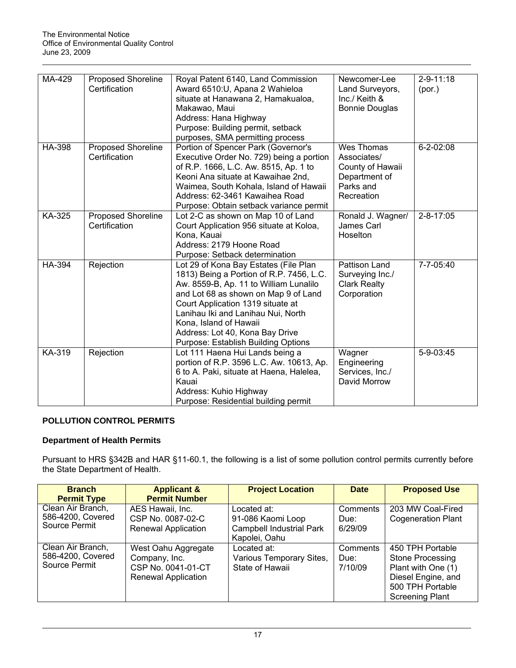| MA-429        | <b>Proposed Shoreline</b><br>Certification | Royal Patent 6140, Land Commission<br>Award 6510:U, Apana 2 Wahieloa<br>situate at Hanawana 2, Hamakualoa,<br>Makawao, Maui<br>Address: Hana Highway<br>Purpose: Building permit, setback<br>purposes, SMA permitting process                                                                                                                      | Newcomer-Lee<br>Land Surveyors,<br>$Inc./$ Keith $&$<br><b>Bonnie Douglas</b>             | $2 - 9 - 11:18$<br>(por.) |
|---------------|--------------------------------------------|----------------------------------------------------------------------------------------------------------------------------------------------------------------------------------------------------------------------------------------------------------------------------------------------------------------------------------------------------|-------------------------------------------------------------------------------------------|---------------------------|
| <b>HA-398</b> | <b>Proposed Shoreline</b><br>Certification | Portion of Spencer Park (Governor's<br>Executive Order No. 729) being a portion<br>of R.P. 1666, L.C. Aw. 8515, Ap. 1 to<br>Keoni Ana situate at Kawaihae 2nd,<br>Waimea, South Kohala, Island of Hawaii<br>Address: 62-3461 Kawaihea Road<br>Purpose: Obtain setback variance permit                                                              | Wes Thomas<br>Associates/<br>County of Hawaii<br>Department of<br>Parks and<br>Recreation | $6 - 2 - 02:08$           |
| KA-325        | <b>Proposed Shoreline</b><br>Certification | Lot 2-C as shown on Map 10 of Land<br>Court Application 956 situate at Koloa,<br>Kona, Kauai<br>Address: 2179 Hoone Road<br>Purpose: Setback determination                                                                                                                                                                                         | Ronald J. Wagner/<br>James Carl<br>Hoselton                                               | $2 - 8 - 17:05$           |
| <b>HA-394</b> | Rejection                                  | Lot 29 of Kona Bay Estates (File Plan<br>1813) Being a Portion of R.P. 7456, L.C.<br>Aw. 8559-B, Ap. 11 to William Lunalilo<br>and Lot 68 as shown on Map 9 of Land<br>Court Application 1319 situate at<br>Lanihau Iki and Lanihau Nui, North<br>Kona, Island of Hawaii<br>Address: Lot 40, Kona Bay Drive<br>Purpose: Establish Building Options | Pattison Land<br>Surveying Inc./<br><b>Clark Realty</b><br>Corporation                    | 7-7-05:40                 |
| KA-319        | Rejection                                  | Lot 111 Haena Hui Lands being a<br>portion of R.P. 3596 L.C. Aw. 10613, Ap.<br>6 to A. Paki, situate at Haena, Halelea,<br>Kauai<br>Address: Kuhio Highway<br>Purpose: Residential building permit                                                                                                                                                 | Wagner<br>Engineering<br>Services, Inc./<br>David Morrow                                  | 5-9-03:45                 |

# **POLLUTION CONTROL PERMITS**

# **Department of Health Permits**

Pursuant to HRS §342B and HAR §11-60.1, the following is a list of some pollution control permits currently before the State Department of Health.

| <b>Branch</b>                      | <b>Applicant &amp;</b>     | <b>Project Location</b>         | <b>Date</b> | <b>Proposed Use</b>       |
|------------------------------------|----------------------------|---------------------------------|-------------|---------------------------|
| <b>Permit Type</b>                 | <b>Permit Number</b>       |                                 |             |                           |
| Clean Air Branch,                  | AES Hawaii, Inc.           | Located at:                     | Comments    | 203 MW Coal-Fired         |
| 586-4200, Covered                  | CSP No. 0087-02-C          | 91-086 Kaomi Loop               | Due:        | <b>Cogeneration Plant</b> |
| Source Permit                      | <b>Renewal Application</b> | <b>Campbell Industrial Park</b> | 6/29/09     |                           |
|                                    |                            | Kapolei, Oahu                   |             |                           |
| Clean Air Branch,                  | West Oahu Aggregate        | Located at:                     | Comments    | 450 TPH Portable          |
| 586-4200, Covered<br>Source Permit | Company, Inc.              | Various Temporary Sites,        | Due:        | <b>Stone Processing</b>   |
|                                    | CSP No. 0041-01-CT         | State of Hawaii                 | 7/10/09     | Plant with One (1)        |
|                                    | <b>Renewal Application</b> |                                 |             | Diesel Engine, and        |
|                                    |                            |                                 |             | 500 TPH Portable          |
|                                    |                            |                                 |             | <b>Screening Plant</b>    |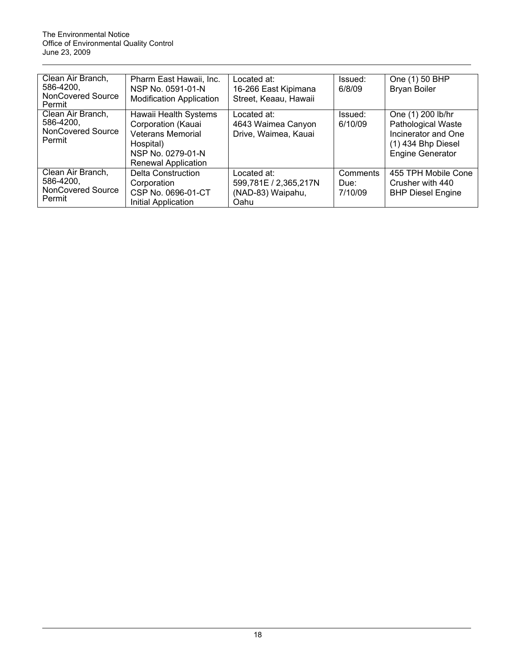| Clean Air Branch,                  | Pharm East Hawaii, Inc.         | Located at:           | Issued:  | One (1) 50 BHP            |
|------------------------------------|---------------------------------|-----------------------|----------|---------------------------|
| 586-4200,                          | NSP No. 0591-01-N               | 16-266 East Kipimana  | 6/8/09   | <b>Bryan Boiler</b>       |
| <b>NonCovered Source</b><br>Permit | <b>Modification Application</b> | Street, Keaau, Hawaii |          |                           |
| Clean Air Branch,                  | Hawaii Health Systems           | Located at:           | Issued:  | One (1) 200 lb/hr         |
| 586-4200,                          | Corporation (Kauai              | 4643 Waimea Canyon    | 6/10/09  | <b>Pathological Waste</b> |
| <b>NonCovered Source</b>           | <b>Veterans Memorial</b>        | Drive, Waimea, Kauai  |          | Incinerator and One       |
| Permit                             | Hospital)                       |                       |          | $(1)$ 434 Bhp Diesel      |
|                                    | NSP No. 0279-01-N               |                       |          | <b>Engine Generator</b>   |
|                                    | Renewal Application             |                       |          |                           |
| Clean Air Branch,                  | <b>Delta Construction</b>       | Located at:           | Comments | 455 TPH Mobile Cone       |
| 586-4200,                          | Corporation                     | 599,781E / 2,365,217N | Due:     | Crusher with 440          |
| <b>NonCovered Source</b>           | CSP No. 0696-01-CT              | (NAD-83) Waipahu,     | 7/10/09  | <b>BHP Diesel Engine</b>  |
| Permit                             | Initial Application             | Oahu                  |          |                           |